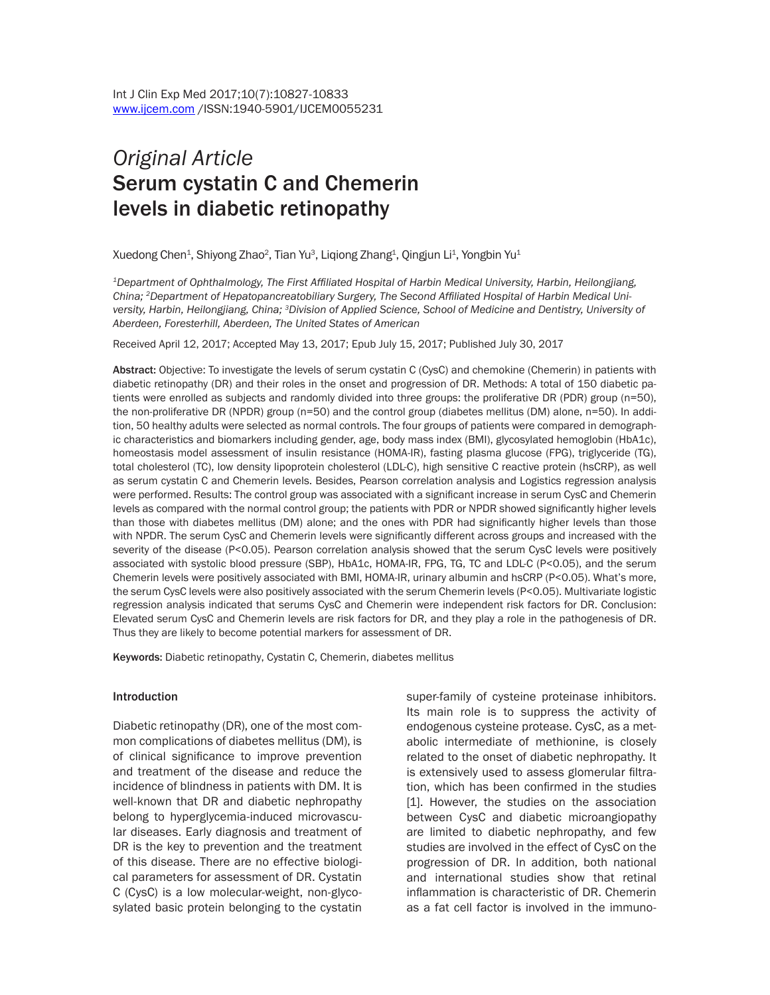# *Original Article* Serum cystatin C and Chemerin levels in diabetic retinopathy

Xuedong Chen $^{\rm 1}$ , Shiyong Zhao $^{\rm 2}$ , Tian Yu $^{\rm 3}$ , Liqiong Zhang $^{\rm 1}$ , Qingjun Li $^{\rm 1}$ , Yongbin Yu $^{\rm 1}$ 

*<sup>1</sup>Department of Ophthalmology, The First Affiliated Hospital of Harbin Medical University, Harbin, Heilongjiang, China; 2Department of Hepatopancreatobiliary Surgery, The Second Affiliated Hospital of Harbin Medical University, Harbin, Heilongjiang, China; <sup>3</sup>Division of Applied Science, School of Medicine and Dentistry, University of Aberdeen, Foresterhill, Aberdeen, The United States of American*

Received April 12, 2017; Accepted May 13, 2017; Epub July 15, 2017; Published July 30, 2017

Abstract: Objective: To investigate the levels of serum cystatin C (CysC) and chemokine (Chemerin) in patients with diabetic retinopathy (DR) and their roles in the onset and progression of DR. Methods: A total of 150 diabetic patients were enrolled as subjects and randomly divided into three groups: the proliferative DR (PDR) group (n=50), the non-proliferative DR (NPDR) group (n=50) and the control group (diabetes mellitus (DM) alone, n=50). In addition, 50 healthy adults were selected as normal controls. The four groups of patients were compared in demographic characteristics and biomarkers including gender, age, body mass index (BMI), glycosylated hemoglobin (HbA1c), homeostasis model assessment of insulin resistance (HOMA-IR), fasting plasma glucose (FPG), triglyceride (TG), total cholesterol (TC), low density lipoprotein cholesterol (LDL-C), high sensitive C reactive protein (hsCRP), as well as serum cystatin C and Chemerin levels. Besides, Pearson correlation analysis and Logistics regression analysis were performed. Results: The control group was associated with a significant increase in serum CysC and Chemerin levels as compared with the normal control group; the patients with PDR or NPDR showed significantly higher levels than those with diabetes mellitus (DM) alone; and the ones with PDR had significantly higher levels than those with NPDR. The serum CysC and Chemerin levels were significantly different across groups and increased with the severity of the disease (P<0.05). Pearson correlation analysis showed that the serum CysC levels were positively associated with systolic blood pressure (SBP), HbA1c, HOMA-IR, FPG, TG, TC and LDL-C (P<0.05), and the serum Chemerin levels were positively associated with BMI, HOMA-IR, urinary albumin and hsCRP (P<0.05). What's more, the serum CysC levels were also positively associated with the serum Chemerin levels (P<0.05). Multivariate logistic regression analysis indicated that serums CysC and Chemerin were independent risk factors for DR. Conclusion: Elevated serum CysC and Chemerin levels are risk factors for DR, and they play a role in the pathogenesis of DR. Thus they are likely to become potential markers for assessment of DR.

Keywords: Diabetic retinopathy, Cystatin C, Chemerin, diabetes mellitus

#### Introduction

Diabetic retinopathy (DR), one of the most common complications of diabetes mellitus (DM), is of clinical significance to improve prevention and treatment of the disease and reduce the incidence of blindness in patients with DM. It is well-known that DR and diabetic nephropathy belong to hyperglycemia-induced microvascular diseases. Early diagnosis and treatment of DR is the key to prevention and the treatment of this disease. There are no effective biological parameters for assessment of DR. Cystatin C (CysC) is a low molecular-weight, non-glycosylated basic protein belonging to the cystatin

super-family of cysteine proteinase inhibitors. Its main role is to suppress the activity of endogenous cysteine protease. CysC, as a metabolic intermediate of methionine, is closely related to the onset of diabetic nephropathy. It is extensively used to assess glomerular filtration, which has been confirmed in the studies [1]. However, the studies on the association between CysC and diabetic microangiopathy are limited to diabetic nephropathy, and few studies are involved in the effect of CysC on the progression of DR. In addition, both national and international studies show that retinal inflammation is characteristic of DR. Chemerin as a fat cell factor is involved in the immuno-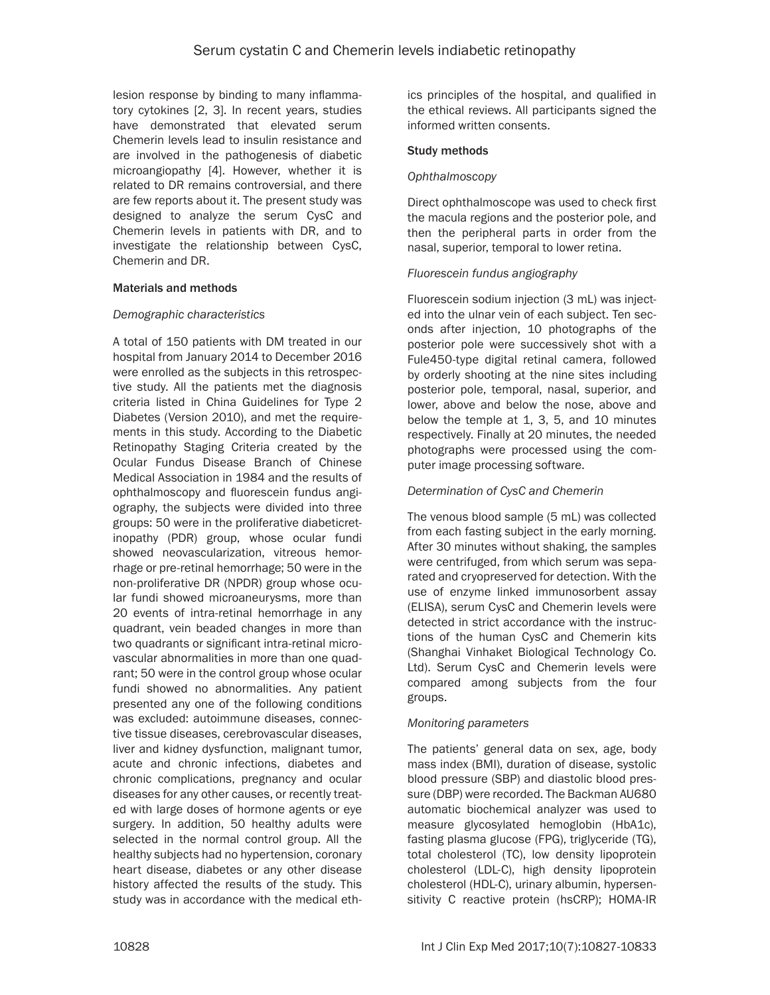lesion response by binding to many inflammatory cytokines [2, 3]. In recent years, studies have demonstrated that elevated serum Chemerin levels lead to insulin resistance and are involved in the pathogenesis of diabetic microangiopathy [4]. However, whether it is related to DR remains controversial, and there are few reports about it. The present study was designed to analyze the serum CysC and Chemerin levels in patients with DR, and to investigate the relationship between CysC, Chemerin and DR.

## Materials and methods

## *Demographic characteristics*

A total of 150 patients with DM treated in our hospital from January 2014 to December 2016 were enrolled as the subjects in this retrospective study. All the patients met the diagnosis criteria listed in China Guidelines for Type 2 Diabetes (Version 2010), and met the requirements in this study. According to the Diabetic Retinopathy Staging Criteria created by the Ocular Fundus Disease Branch of Chinese Medical Association in 1984 and the results of ophthalmoscopy and fluorescein fundus angiography, the subjects were divided into three groups: 50 were in the proliferative diabeticretinopathy (PDR) group, whose ocular fundi showed neovascularization, vitreous hemorrhage or pre-retinal hemorrhage; 50 were in the non-proliferative DR (NPDR) group whose ocular fundi showed microaneurysms, more than 20 events of intra-retinal hemorrhage in any quadrant, vein beaded changes in more than two quadrants or significant intra-retinal microvascular abnormalities in more than one quadrant; 50 were in the control group whose ocular fundi showed no abnormalities. Any patient presented any one of the following conditions was excluded: autoimmune diseases, connective tissue diseases, cerebrovascular diseases, liver and kidney dysfunction, malignant tumor, acute and chronic infections, diabetes and chronic complications, pregnancy and ocular diseases for any other causes, or recently treated with large doses of hormone agents or eye surgery. In addition, 50 healthy adults were selected in the normal control group. All the healthy subjects had no hypertension, coronary heart disease, diabetes or any other disease history affected the results of the study. This study was in accordance with the medical ethics principles of the hospital, and qualified in the ethical reviews. All participants signed the informed written consents.

## Study methods

## *Ophthalmoscopy*

Direct ophthalmoscope was used to check first the macula regions and the posterior pole, and then the peripheral parts in order from the nasal, superior, temporal to lower retina.

## *Fluorescein fundus angiography*

Fluorescein sodium injection (3 mL) was injected into the ulnar vein of each subject. Ten seconds after injection, 10 photographs of the posterior pole were successively shot with a Fule450-type digital retinal camera, followed by orderly shooting at the nine sites including posterior pole, temporal, nasal, superior, and lower, above and below the nose, above and below the temple at 1, 3, 5, and 10 minutes respectively. Finally at 20 minutes, the needed photographs were processed using the computer image processing software.

## *Determination of CysC and Chemerin*

The venous blood sample (5 mL) was collected from each fasting subject in the early morning. After 30 minutes without shaking, the samples were centrifuged, from which serum was separated and cryopreserved for detection. With the use of enzyme linked immunosorbent assay (ELISA), serum CysC and Chemerin levels were detected in strict accordance with the instructions of the human CysC and Chemerin kits (Shanghai Vinhaket Biological Technology Co. Ltd). Serum CysC and Chemerin levels were compared among subjects from the four groups.

## *Monitoring parameters*

The patients' general data on sex, age, body mass index (BMI), duration of disease, systolic blood pressure (SBP) and diastolic blood pressure (DBP) were recorded. The Backman AU680 automatic biochemical analyzer was used to measure glycosylated hemoglobin (HbA1c), fasting plasma glucose (FPG), triglyceride (TG), total cholesterol (TC), low density lipoprotein cholesterol (LDL-C), high density lipoprotein cholesterol (HDL-C), urinary albumin, hypersensitivity C reactive protein (hsCRP); HOMA-IR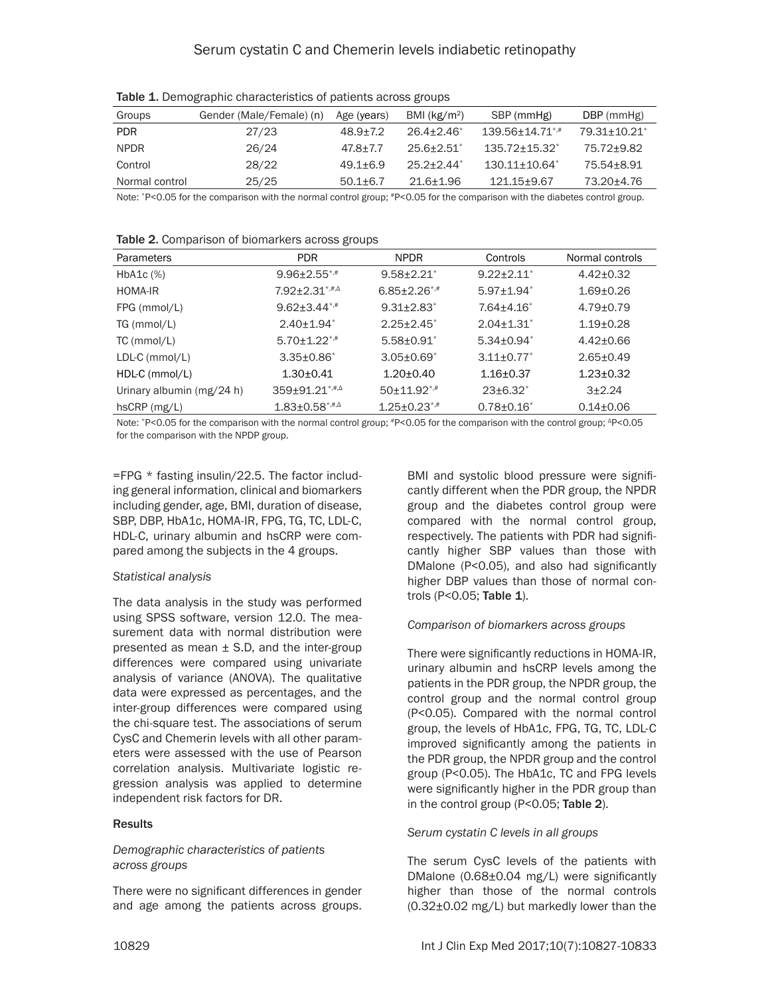| Groups         | Gender (Male/Female) (n) | Age (years)  | BMI ( $kg/m2$ ) | SBP (mmHg)                      | DBP (mmHg)   |
|----------------|--------------------------|--------------|-----------------|---------------------------------|--------------|
| <b>PDR</b>     | 27/23                    | $48.9 + 7.2$ | $26.4 + 2.46^*$ | $139.56 + 14.71$ <sup>*,#</sup> | 79.31+10.21* |
| <b>NPDR</b>    | 26/24                    | $47.8 + 7.7$ | $25.6 + 2.51$   | $135.72 + 15.32^*$              | 75.72+9.82   |
| Control        | 28/22                    | $49.1 + 6.9$ | $25.2 + 2.44$   | $130.11 + 10.64^*$              | 75.54+8.91   |
| Normal control | 25/25                    | $50.1 + 6.7$ | 21.6+1.96       | 121.15+9.67                     | 73.20+4.76   |

Table 1. Demographic characteristics of patients across groups

Note: \*P<0.05 for the comparison with the normal control group; \*P<0.05 for the comparison with the diabetes control group.

| Parameters                | PDR.                           | <b>NPDR</b>                  | Controls                   | Normal controls |
|---------------------------|--------------------------------|------------------------------|----------------------------|-----------------|
| $HbA1c$ $%$               | $9.96 \pm 2.55$ <sup>*,#</sup> | $9.58 + 2.21$                | $9.22 \pm 2.11$            | $4.42+0.32$     |
| HOMA-IR                   | $7.92 \pm 2.31$ *,#, $\Delta$  | $6.85 \pm 2.26$ *,#          | $5.97 + 1.94$ <sup>*</sup> | $1.69 + 0.26$   |
| FPG (mmol/L)              | $9.62 \pm 3.44$ *,#            | $9.31 \pm 2.83$ <sup>*</sup> | $7.64 + 4.16^*$            | $4.79 + 0.79$   |
| TG (mmol/L)               | $2.40 \pm 1.94$ <sup>*</sup>   | $2.25 + 2.45^*$              | $2.04 + 1.31$ <sup>*</sup> | $1.19 + 0.28$   |
| $TC$ (mmol/L)             | $5.70 \pm 1.22$ <sup>*,#</sup> | $5.58 \pm 0.91$              | $5.34 + 0.94^*$            | $4.42 + 0.66$   |
| $LDL-C$ (mmol/L)          | $3.35 \pm 0.86^*$              | $3.05 \pm 0.69$ <sup>*</sup> | $3.11 \pm 0.77$            | $2.65 + 0.49$   |
| $HDL-C$ (mmol/L)          | $1.30 + 0.41$                  | $1.20 \pm 0.40$              | $1.16 + 0.37$              | $1.23 + 0.32$   |
| Urinary albumin (mg/24 h) | $359 \pm 91.21$ *,#, $\Delta$  | $50+11.92$ *,#               | $23\pm 6.32^*$             | $3+2.24$        |
| hsCRP (mg/L)              | $1.83 \pm 0.58$ *,#, $\Delta$  | $1.25 + 0.23$ <sup>*,#</sup> | $0.78 + 0.16^*$            | $0.14 \pm 0.06$ |

Table 2. Comparison of biomarkers across groups

Note: \*P<0.05 for the comparison with the normal control group; \*P<0.05 for the comparison with the control group; <sup>Δ</sup>P<0.05 for the comparison with the NPDP group.

=FPG \* fasting insulin/22.5. The factor including general information, clinical and biomarkers including gender, age, BMI, duration of disease, SBP, DBP, HbA1c, HOMA-IR, FPG, TG, TC, LDL-C, HDL-C, urinary albumin and hsCRP were compared among the subjects in the 4 groups.

# *Statistical analysis*

The data analysis in the study was performed using SPSS software, version 12.0. The measurement data with normal distribution were presented as mean  $\pm$  S.D, and the inter-group differences were compared using univariate analysis of variance (ANOVA). The qualitative data were expressed as percentages, and the inter-group differences were compared using the chi-square test. The associations of serum CysC and Chemerin levels with all other parameters were assessed with the use of Pearson correlation analysis. Multivariate logistic regression analysis was applied to determine independent risk factors for DR.

# **Results**

## *Demographic characteristics of patients across groups*

There were no significant differences in gender and age among the patients across groups. BMI and systolic blood pressure were significantly different when the PDR group, the NPDR group and the diabetes control group were compared with the normal control group, respectively. The patients with PDR had significantly higher SBP values than those with DMalone (P<0.05), and also had significantly higher DBP values than those of normal controls (P<0.05; Table 1).

# *Comparison of biomarkers across groups*

There were significantly reductions in HOMA-IR, urinary albumin and hsCRP levels among the patients in the PDR group, the NPDR group, the control group and the normal control group (P<0.05). Compared with the normal control group, the levels of HbA1c, FPG, TG, TC, LDL-C improved significantly among the patients in the PDR group, the NPDR group and the control group (P<0.05). The HbA1c, TC and FPG levels were significantly higher in the PDR group than in the control group (P<0.05; Table 2).

# *Serum cystatin C levels in all groups*

The serum CysC levels of the patients with DMalone (0.68±0.04 mg/L) were significantly higher than those of the normal controls (0.32±0.02 mg/L) but markedly lower than the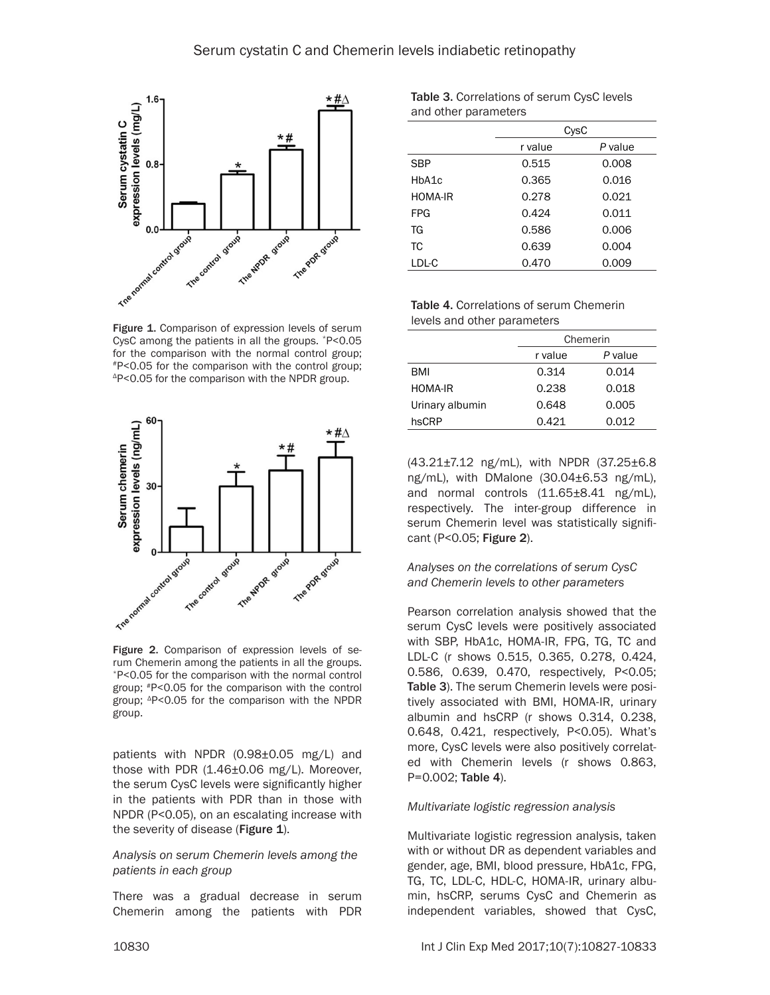

Figure 1. Comparison of expression levels of serum CysC among the patients in all the groups. \*P<0.05 for the comparison with the normal control group; #P<0.05 for the comparison with the control group; ΔP<0.05 for the comparison with the NPDR group.



Figure 2. Comparison of expression levels of serum Chemerin among the patients in all the groups. \*P<0.05 for the comparison with the normal control group; #P<0.05 for the comparison with the control group; <sup>Δ</sup>P<0.05 for the comparison with the NPDR group.

patients with NPDR (0.98±0.05 mg/L) and those with PDR (1.46±0.06 mg/L). Moreover, the serum CysC levels were significantly higher in the patients with PDR than in those with NPDR (P<0.05), on an escalating increase with the severity of disease (Figure 1).

*Analysis on serum Chemerin levels among the patients in each group*

There was a gradual decrease in serum Chemerin among the patients with PDR

Table 3. Correlations of serum CysC levels and other parameters

|                | CysC    |         |  |
|----------------|---------|---------|--|
|                | r value | P value |  |
| <b>SBP</b>     | 0.515   | 0.008   |  |
| HbA1c          | 0.365   | 0.016   |  |
| <b>HOMA-IR</b> | 0.278   | 0.021   |  |
| <b>FPG</b>     | 0.424   | 0.011   |  |
| TG             | 0.586   | 0.006   |  |
| ТC             | 0.639   | 0.004   |  |
| LDL-C          | 0.470   | 0.009   |  |

Table 4. Correlations of serum Chemerin levels and other parameters

|                 | Chemerin |         |  |
|-----------------|----------|---------|--|
|                 | r value  | P value |  |
| BMI             | 0.314    | 0.014   |  |
| <b>HOMA-IR</b>  | 0.238    | 0.018   |  |
| Urinary albumin | 0.648    | 0.005   |  |
| hsCRP           | 0.421    | 0.012   |  |

(43.21±7.12 ng/mL), with NPDR (37.25±6.8 ng/mL), with DMalone (30.04±6.53 ng/mL), and normal controls  $(11.65\pm8.41 \text{ ng/mL})$ , respectively. The inter-group difference in serum Chemerin level was statistically significant (P<0.05; Figure 2).

## *Analyses on the correlations of serum CysC and Chemerin levels to other parameters*

Pearson correlation analysis showed that the serum CysC levels were positively associated with SBP, HbA1c, HOMA-IR, FPG, TG, TC and LDL-C (r shows 0.515, 0.365, 0.278, 0.424, 0.586, 0.639, 0.470, respectively, P<0.05; Table 3). The serum Chemerin levels were positively associated with BMI, HOMA-IR, urinary albumin and hsCRP (r shows 0.314, 0.238, 0.648, 0.421, respectively, P<0.05). What's more, CysC levels were also positively correlated with Chemerin levels (r shows 0.863, P=0.002; Table 4).

#### *Multivariate logistic regression analysis*

Multivariate logistic regression analysis, taken with or without DR as dependent variables and gender, age, BMI, blood pressure, HbA1c, FPG, TG, TC, LDL-C, HDL-C, HOMA-IR, urinary albumin, hsCRP, serums CysC and Chemerin as independent variables, showed that CysC,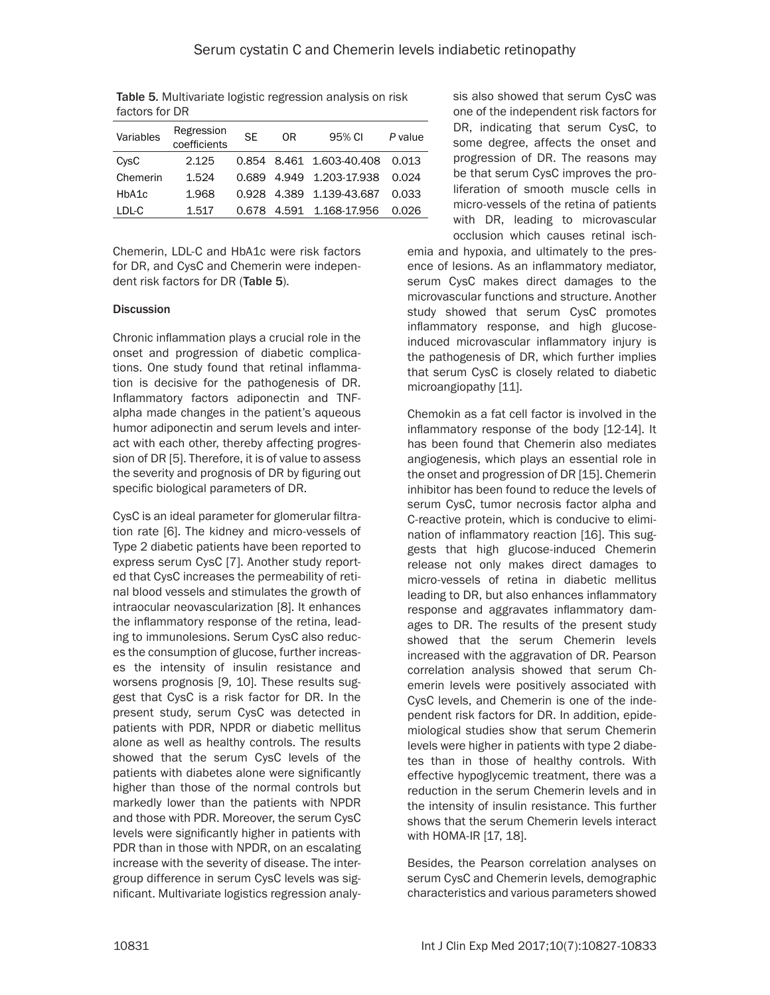| Variables | Regression<br>coefficients | <b>SE</b> | 0R | 95% CI                   | P value |
|-----------|----------------------------|-----------|----|--------------------------|---------|
| CysC      | 2.125                      |           |    | 0.854 8.461 1.603-40.408 | 0.013   |
| Chemerin  | 1.524                      | 0.689     |    | 4.949 1.203-17.938       | 0.024   |
| HbA1c     | 1.968                      | 0.928     |    | 4.389 1.139-43.687       | 0.033   |
| LDL-C     | 1.517                      | 0.678     |    | 4.591 1.168-17.956       | 0.026   |

Table 5. Multivariate logistic regression analysis on risk factors for DR

Chemerin, LDL-C and HbA1c were risk factors for DR, and CysC and Chemerin were independent risk factors for DR (Table 5).

## **Discussion**

Chronic inflammation plays a crucial role in the onset and progression of diabetic complications. One study found that retinal inflammation is decisive for the pathogenesis of DR. Inflammatory factors adiponectin and TNFalpha made changes in the patient's aqueous humor adiponectin and serum levels and interact with each other, thereby affecting progression of DR [5]. Therefore, it is of value to assess the severity and prognosis of DR by figuring out specific biological parameters of DR.

CysC is an ideal parameter for glomerular filtration rate [6]. The kidney and micro-vessels of Type 2 diabetic patients have been reported to express serum CysC [7]. Another study reported that CysC increases the permeability of retinal blood vessels and stimulates the growth of intraocular neovascularization [8]. It enhances the inflammatory response of the retina, leading to immunolesions. Serum CysC also reduces the consumption of glucose, further increases the intensity of insulin resistance and worsens prognosis [9, 10]. These results suggest that CysC is a risk factor for DR. In the present study, serum CysC was detected in patients with PDR, NPDR or diabetic mellitus alone as well as healthy controls. The results showed that the serum CysC levels of the patients with diabetes alone were significantly higher than those of the normal controls but markedly lower than the patients with NPDR and those with PDR. Moreover, the serum CysC levels were significantly higher in patients with PDR than in those with NPDR, on an escalating increase with the severity of disease. The intergroup difference in serum CysC levels was significant. Multivariate logistics regression analyemia and hypoxia, and ultimately to the presence of lesions. As an inflammatory mediator, serum CysC makes direct damages to the microvascular functions and structure. Another study showed that serum CysC promotes inflammatory response, and high glucoseinduced microvascular inflammatory injury is the pathogenesis of DR, which further implies that serum CysC is closely related to diabetic microangiopathy [11]. sis also showed that serum CysC was one of the independent risk factors for DR, indicating that serum CysC, to some degree, affects the onset and progression of DR. The reasons may be that serum CysC improves the proliferation of smooth muscle cells in micro-vessels of the retina of patients with DR, leading to microvascular occlusion which causes retinal isch-

Chemokin as a fat cell factor is involved in the inflammatory response of the body [12-14]. It has been found that Chemerin also mediates angiogenesis, which plays an essential role in the onset and progression of DR [15]. Chemerin inhibitor has been found to reduce the levels of serum CysC, tumor necrosis factor alpha and C-reactive protein, which is conducive to elimination of inflammatory reaction [16]. This suggests that high glucose-induced Chemerin release not only makes direct damages to micro-vessels of retina in diabetic mellitus leading to DR, but also enhances inflammatory response and aggravates inflammatory damages to DR. The results of the present study showed that the serum Chemerin levels increased with the aggravation of DR. Pearson correlation analysis showed that serum Chemerin levels were positively associated with CysC levels, and Chemerin is one of the independent risk factors for DR. In addition, epidemiological studies show that serum Chemerin levels were higher in patients with type 2 diabetes than in those of healthy controls. With effective hypoglycemic treatment, there was a reduction in the serum Chemerin levels and in the intensity of insulin resistance. This further shows that the serum Chemerin levels interact with HOMA-IR [17, 18].

Besides, the Pearson correlation analyses on serum CysC and Chemerin levels, demographic characteristics and various parameters showed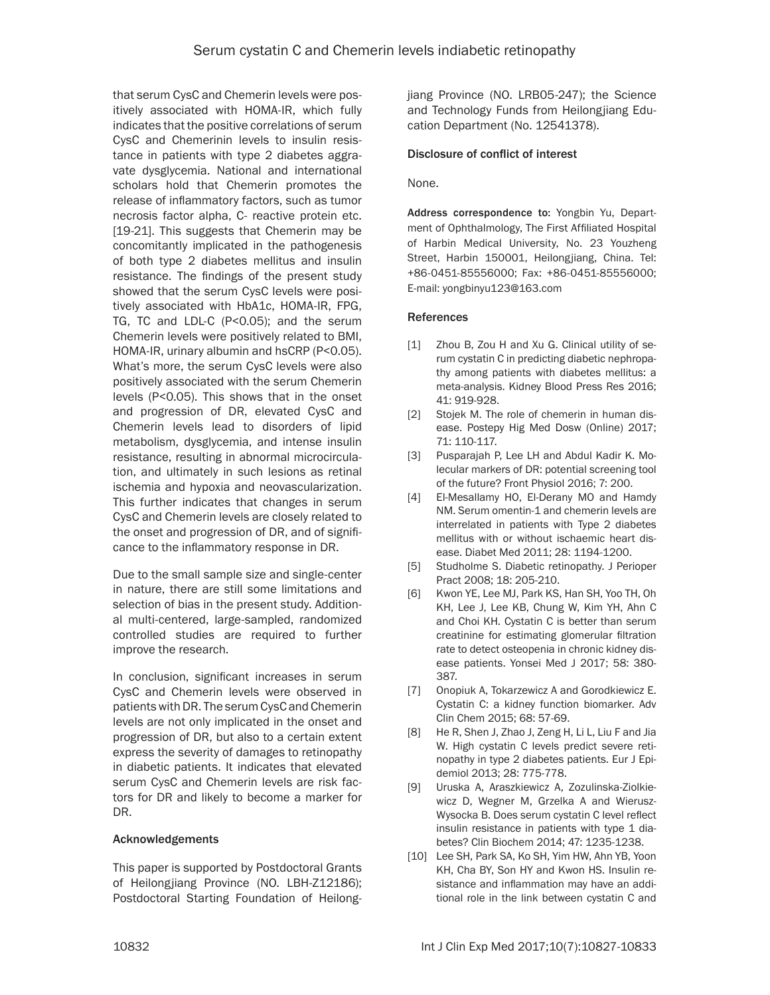that serum CysC and Chemerin levels were positively associated with HOMA-IR, which fully indicates that the positive correlations of serum CysC and Chemerinin levels to insulin resistance in patients with type 2 diabetes aggravate dysglycemia. National and international scholars hold that Chemerin promotes the release of inflammatory factors, such as tumor necrosis factor alpha, C- reactive protein etc. [19-21]. This suggests that Chemerin may be concomitantly implicated in the pathogenesis of both type 2 diabetes mellitus and insulin resistance. The findings of the present study showed that the serum CysC levels were positively associated with HbA1c, HOMA-IR, FPG, TG, TC and LDL-C (P<0.05); and the serum Chemerin levels were positively related to BMI, HOMA-IR, urinary albumin and hsCRP (P<0.05). What's more, the serum CysC levels were also positively associated with the serum Chemerin levels (P<0.05). This shows that in the onset and progression of DR, elevated CysC and Chemerin levels lead to disorders of lipid metabolism, dysglycemia, and intense insulin resistance, resulting in abnormal microcirculation, and ultimately in such lesions as retinal ischemia and hypoxia and neovascularization. This further indicates that changes in serum CysC and Chemerin levels are closely related to the onset and progression of DR, and of significance to the inflammatory response in DR.

Due to the small sample size and single-center in nature, there are still some limitations and selection of bias in the present study. Additional multi-centered, large-sampled, randomized controlled studies are required to further improve the research.

In conclusion, significant increases in serum CysC and Chemerin levels were observed in patients with DR. The serum CysC and Chemerin levels are not only implicated in the onset and progression of DR, but also to a certain extent express the severity of damages to retinopathy in diabetic patients. It indicates that elevated serum CysC and Chemerin levels are risk factors for DR and likely to become a marker for DR.

## Acknowledgements

This paper is supported by Postdoctoral Grants of Heilongjiang Province (NO. LBH-Z12186); Postdoctoral Starting Foundation of Heilongjiang Province (NO. LRB05-247); the Science and Technology Funds from Heilongjiang Education Department (No. 12541378).

## Disclosure of conflict of interest

## None.

Address correspondence to: Yongbin Yu, Department of Ophthalmology, The First Affiliated Hospital of Harbin Medical University, No. 23 Youzheng Street, Harbin 150001, Heilongjiang, China. Tel: +86-0451-85556000; Fax: +86-0451-85556000; E-mail: [yongbinyu123@163.com](mailto:yongbinyu123@163.com)

## References

- [1] Zhou B, Zou H and Xu G. Clinical utility of serum cystatin C in predicting diabetic nephropathy among patients with diabetes mellitus: a meta-analysis. Kidney Blood Press Res 2016; 41: 919-928.
- [2] Stojek M. The role of chemerin in human disease. Postepy Hig Med Dosw (Online) 2017; 71: 110-117.
- [3] Pusparajah P, Lee LH and Abdul Kadir K. Molecular markers of DR: potential screening tool of the future? Front Physiol 2016; 7: 200.
- [4] El-Mesallamy HO, El-Derany MO and Hamdy NM. Serum omentin-1 and chemerin levels are interrelated in patients with Type 2 diabetes mellitus with or without ischaemic heart disease. Diabet Med 2011; 28: 1194-1200.
- [5] Studholme S. Diabetic retinopathy. J Perioper Pract 2008; 18: 205-210.
- [6] Kwon YE, Lee MJ, Park KS, Han SH, Yoo TH, Oh KH, Lee J, Lee KB, Chung W, Kim YH, Ahn C and Choi KH. Cystatin C is better than serum creatinine for estimating glomerular filtration rate to detect osteopenia in chronic kidney disease patients. Yonsei Med J 2017; 58: 380- 387.
- [7] Onopiuk A, Tokarzewicz A and Gorodkiewicz E. Cystatin C: a kidney function biomarker. Adv Clin Chem 2015; 68: 57-69.
- [8] He R, Shen J, Zhao J, Zeng H, Li L, Liu F and Jia W. High cystatin C levels predict severe retinopathy in type 2 diabetes patients. Eur J Epidemiol 2013; 28: 775-778.
- [9] Uruska A, Araszkiewicz A, Zozulinska-Ziolkiewicz D, Wegner M, Grzelka A and Wierusz-Wysocka B. Does serum cystatin C level reflect insulin resistance in patients with type 1 diabetes? Clin Biochem 2014; 47: 1235-1238.
- [10] Lee SH, Park SA, Ko SH, Yim HW, Ahn YB, Yoon KH, Cha BY, Son HY and Kwon HS. Insulin resistance and inflammation may have an additional role in the link between cystatin C and